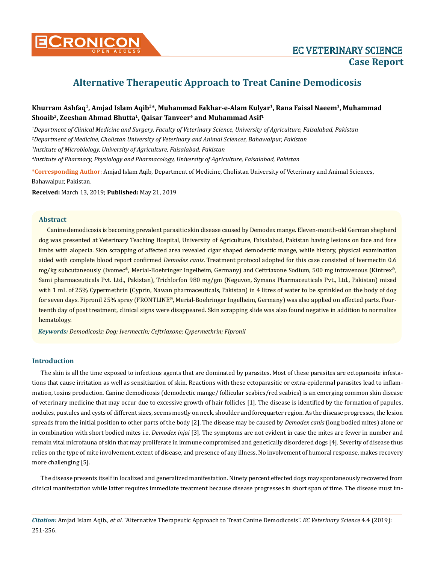

# **Alternative Therapeutic Approach to Treat Canine Demodicosis**

## **Khurram Ashfaq1, Amjad Islam Aqib2\*, Muhammad Fakhar-e-Alam Kulyar1, Rana Faisal Naeem1, Muhammad** Shoaib<sup>3</sup>, Zeeshan Ahmad Bhutta<sup>1</sup>, Qaisar Tanveer<sup>4</sup> and Muhammad Asif<sup>1</sup>

*1 Department of Clinical Medicine and Surgery, Faculty of Veterinary Science, University of Agriculture, Faisalabad, Pakistan 2 Department of Medicine, Cholistan University of Veterinary and Animal Sciences, Bahawalpur, Pakistan 3 Institute of Microbiology, University of Agriculture, Faisalabad, Pakistan*

*4 Institute of Pharmacy, Physiology and Pharmacology, University of Agriculture, Faisalabad, Pakistan*

**\*Corresponding Author**: Amjad Islam Aqib, Department of Medicine, Cholistan University of Veterinary and Animal Sciences, Bahawalpur, Pakistan.

**Received:** March 13, 2019; **Published:** May 21, 2019

## **Abstract**

Canine demodicosis is becoming prevalent parasitic skin disease caused by Demodex mange. Eleven-month-old German shepherd dog was presented at Veterinary Teaching Hospital, University of Agriculture, Faisalabad, Pakistan having lesions on face and fore limbs with alopecia. Skin scrapping of affected area revealed cigar shaped demodectic mange, while history, physical examination aided with complete blood report confirmed *Demodex canis*. Treatment protocol adopted for this case consisted of Ivermectin 0.6 mg/kg subcutaneously (Ivomec®, Merial-Boehringer Ingelheim, Germany) and Ceftriaxone Sodium, 500 mg intravenous (Kintrex®, Sami pharmaceuticals Pvt. Ltd., Pakistan), Trichlorfon 980 mg/gm (Neguvon, Symans Pharmaceuticals Pvt., Ltd., Pakistan) mixed with 1 mL of 25% Cypermethrin (Cyprin, Nawan pharmaceuticals, Pakistan) in 4 litres of water to be sprinkled on the body of dog for seven days. Fipronil 25% spray (FRONTLINE®, Merial-Boehringer Ingelheim, Germany) was also applied on affected parts. Fourteenth day of post treatment, clinical signs were disappeared. Skin scrapping slide was also found negative in addition to normalize hematology.

*Keywords: Demodicosis; Dog; Ivermectin; Ceftriaxone; Cypermethrin; Fipronil*

## **Introduction**

The skin is all the time exposed to infectious agents that are dominated by parasites. Most of these parasites are ectoparasite infestations that cause irritation as well as sensitization of skin. Reactions with these ectoparasitic or extra-epidermal parasites lead to inflammation, toxins production. Canine demodicosis (demodectic mange/ follicular scabies/red scabies) is an emerging common skin disease of veterinary medicine that may occur due to excessive growth of hair follicles [1]. The disease is identified by the formation of papules, nodules, pustules and cysts of different sizes, seems mostly on neck, shoulder and forequarter region. As the disease progresses, the lesion spreads from the initial position to other parts of the body [2]. The disease may be caused by *Demodex canis* (long bodied mites) alone or in combination with short bodied mites i.e. *Demodex injai* [3]. The symptoms are not evident in case the mites are fewer in number and remain vital microfauna of skin that may proliferate in immune compromised and genetically disordered dogs [4]. Severity of disease thus relies on the type of mite involvement, extent of disease, and presence of any illness. No involvement of humoral response, makes recovery more challenging [5].

The disease presents itself in localized and generalized manifestation. Ninety percent effected dogs may spontaneously recovered from clinical manifestation while latter requires immediate treatment because disease progresses in short span of time. The disease must im-

*Citation:* Amjad Islam Aqib*., et al.* "Alternative Therapeutic Approach to Treat Canine Demodicosis". *EC Veterinary Science* 4.4 (2019): 251-256.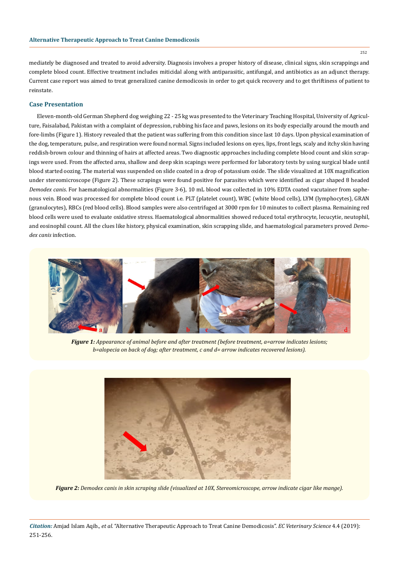mediately be diagnosed and treated to avoid adversity. Diagnosis involves a proper history of disease, clinical signs, skin scrappings and complete blood count. Effective treatment includes miticidal along with antiparasitic, antifungal, and antibiotics as an adjunct therapy. Current case report was aimed to treat generalized canine demodicosis in order to get quick recovery and to get thriftiness of patient to reinstate.

## **Case Presentation**

Eleven-month-old German Shepherd dog weighing 22 - 25 kg was presented to the Veterinary Teaching Hospital, University of Agriculture, Faisalabad, Pakistan with a complaint of depression, rubbing his face and paws, lesions on its body especially around the mouth and fore-limbs (Figure 1). History revealed that the patient was suffering from this condition since last 10 days. Upon physical examination of the dog, temperature, pulse, and respiration were found normal. Signs included lesions on eyes, lips, front legs, scaly and itchy skin having reddish-brown colour and thinning of hairs at affected areas. Two diagnostic approaches including complete blood count and skin scrapings were used. From the affected area, shallow and deep skin scapings were performed for laboratory tests by using surgical blade until blood started oozing. The material was suspended on slide coated in a drop of potassium oxide. The slide visualized at 10X magnification under stereomicroscope (Figure 2). These scrapings were found positive for parasites which were identified as cigar shaped 8 headed *Demodex canis*. For haematological abnormalities (Figure 3-6), 10 mL blood was collected in 10% EDTA coated vacutainer from saphenous vein. Blood was processed for complete blood count i.e. PLT (platelet count), WBC (white blood cells), LYM (lymphocytes), GRAN (granulocytes), RBCs (red blood cells). Blood samples were also centrifuged at 3000 rpm for 10 minutes to collect plasma. Remaining red blood cells were used to evaluate oxidative stress. Haematological abnormalities showed reduced total erythrocyte, lecucytie, neutophil, and eosinophil count. All the clues like history, physical examination, skin scrapping slide, and haematological parameters proved *Demodex canis* infection.



*Figure 1: Appearance of animal before and after treatment (before treatment, a=arrow indicates lesions; b=alopecia on back of dog; after treatment, c and d= arrow indicates recovered lesions).*



*Figure 2: Demodex canis in skin scraping slide (visualized at 10X, Stereomicroscope, arrow indicate cigar like mange).*

*Citation:* Amjad Islam Aqib*., et al.* "Alternative Therapeutic Approach to Treat Canine Demodicosis". *EC Veterinary Science* 4.4 (2019): 251-256.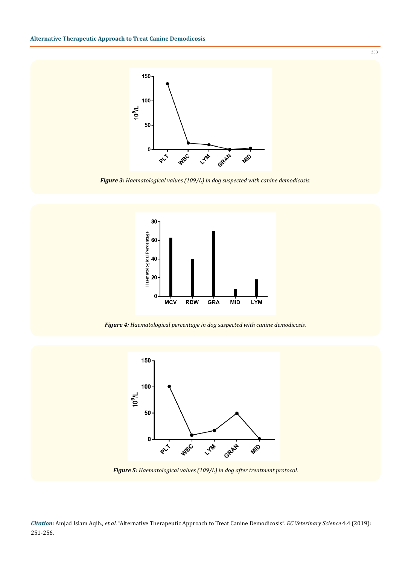

*Figure 3: Haematological values (109/L) in dog suspected with canine demodicosis.*



*Figure 4: Haematological percentage in dog suspected with canine demodicosis.*



*Figure 5: Haematological values (109/L) in dog after treatment protocol.*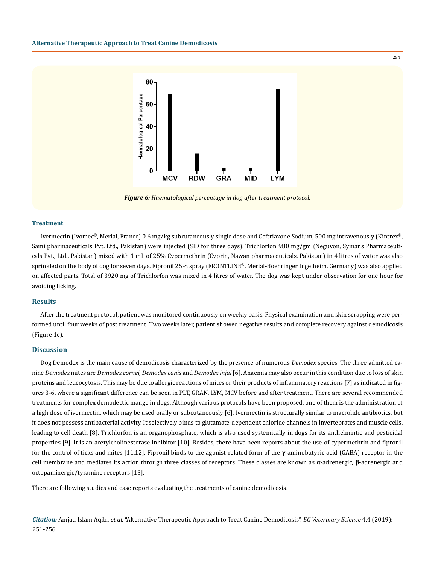

*Figure 6: Haematological percentage in dog after treatment protocol.*

#### **Treatment**

Ivermectin (Ivomec®, Merial, France) 0.6 mg/kg subcutaneously single dose and Ceftriaxone Sodium, 500 mg intravenously (Kintrex®, Sami pharmaceuticals Pvt. Ltd., Pakistan) were injected (SID for three days). Trichlorfon 980 mg/gm (Neguvon, Symans Pharmaceuticals Pvt., Ltd., Pakistan) mixed with 1 mL of 25% Cypermethrin (Cyprin, Nawan pharmaceuticals, Pakistan) in 4 litres of water was also sprinkled on the body of dog for seven days. Fipronil 25% spray (FRONTLINE®, Merial-Boehringer Ingelheim, Germany) was also applied on affected parts. Total of 3920 mg of Trichlorfon was mixed in 4 litres of water. The dog was kept under observation for one hour for avoiding licking.

## **Results**

After the treatment protocol, patient was monitored continuously on weekly basis. Physical examination and skin scrapping were performed until four weeks of post treatment. Two weeks later, patient showed negative results and complete recovery against demodicosis (Figure 1c).

## **Discussion**

Dog Demodex is the main cause of demodicosis characterized by the presence of numerous *Demodex* species*.* The three admitted canine *Demodex* mites are *Demodex cornei*, *Demodex canis* and *Demodex injai* [6]. Anaemia may also occur in this condition due to loss of skin proteins and leucocytosis. This may be due to allergic reactions of mites or their products of inflammatory reactions [7] as indicated in figures 3-6, where a significant difference can be seen in PLT, GRAN, LYM, MCV before and after treatment. There are several recommended treatments for complex demodectic mange in dogs. Although various protocols have been proposed, one of them is the administration of a high dose of ivermectin, which may be used orally or subcutaneously [6]. Ivermectin is structurally similar to macrolide antibiotics, but it does not possess antibacterial activity. It selectively binds to glutamate-dependent chloride channels in invertebrates and muscle cells, leading to cell death [8]. Trichlorfon is an organophosphate, which is also used systemically in dogs for its anthelmintic and pesticidal properties [9]. It is an acetylcholinesterase inhibitor [10]. Besides, there have been reports about the use of cypermethrin and fipronil for the control of ticks and mites [11,12]. Fipronil binds to the agonist-related form of the **γ**-aminobutyric acid (GABA) receptor in the cell membrane and mediates its action through three classes of receptors. These classes are known as **α**-adrenergic, **β**-adrenergic and octopaminergic/tyramine receptors [13].

There are following studies and case reports evaluating the treatments of canine demodicosis.

*Citation:* Amjad Islam Aqib*., et al.* "Alternative Therapeutic Approach to Treat Canine Demodicosis". *EC Veterinary Science* 4.4 (2019): 251-256.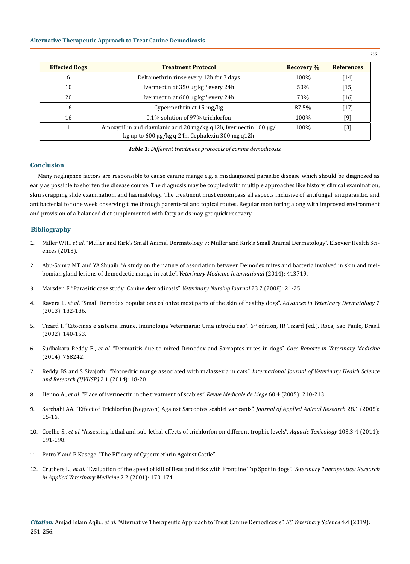| <b>Effected Dogs</b> | <b>Treatment Protocol</b>                                         | <b>Recovery %</b> | <b>References</b> |
|----------------------|-------------------------------------------------------------------|-------------------|-------------------|
| 6                    | Deltamethrin rinse every 12h for 7 days                           | 100%              | $[14]$            |
| 10                   | Ivermectin at 350 $\mu$ g kg <sup>-1</sup> every 24h              | 50%               | $[15]$            |
| 20                   | Ivermectin at $600 \mu g kg^{-1}$ every 24h                       | 70%               | $[16]$            |
| 16                   | Cypermethrin at 15 mg/kg                                          | 87.5%             | $[17]$            |
| 16                   | 0.1% solution of 97% trichlorfon                                  | 100%              | $[9]$             |
|                      | Amoxycillin and clavulanic acid 20 mg/kg q12h, Ivermectin 100 μg/ | 100%              | $[3]$             |
|                      | kg up to 600 μg/kg q 24h, Cephalexin 300 mg q12h                  |                   |                   |

*Table 1: Different treatment protocols of canine demodicosis.*

## **Conclusion**

Many negligence factors are responsible to cause canine mange e.g. a misdiagnosed parasitic disease which should be diagnosed as early as possible to shorten the disease course. The diagnosis may be coupled with multiple approaches like history, clinical examination, skin scrapping slide examination, and haematology. The treatment must encompass all aspects inclusive of antifungal, antiparasitic, and antibacterial for one week observing time through parenteral and topical routes. Regular monitoring along with improved environment and provision of a balanced diet supplemented with fatty acids may get quick recovery.

## **Bibliography**

- 1. Miller WH., *et al*. "Muller and Kirk's Small Animal Dermatology 7: Muller and Kirk's Small Animal Dermatology". Elsevier Health Sciences (2013).
- 2. [Abu-Samra MT and YA Shuaib. "A study on the nature of association between Demodex mites and bacteria involved in skin and mei](https://www.ncbi.nlm.nih.gov/pubmed/25177514)[bomian gland lesions of demodectic mange in cattle".](https://www.ncbi.nlm.nih.gov/pubmed/25177514) *Veterinary Medicine International* (2014): 413719.
- 3. [Marsden F. "Parasitic case study: Canine demodicosis".](https://www.tandfonline.com/doi/abs/10.1080/17415349.2008.11013700) *Veterinary Nursing Journal* 23.7 (2008): 21-25.
- 4. Ravera I., *et al*[. "Small Demodex populations colonize most parts of the skin of healthy dogs".](https://onlinelibrary.wiley.com/doi/abs/10.1002/9781118644317.ch23) *Advances in Veterinary Dermatology* 7 [\(2013\): 182-186.](https://onlinelibrary.wiley.com/doi/abs/10.1002/9781118644317.ch23)
- 5. Tizard I. "Citocinas e sistema imune. Imunologia Veterinaria: Uma introdu cao". 6<sup>th</sup> edition, IR Tizard (ed.). Roca, Sao Paulo, Brasil (2002): 140-153.
- 6. Sudhakara Reddy B., *et al*[. "Dermatitis due to mixed Demodex and Sarcoptes mites in dogs".](https://www.hindawi.com/journals/crivem/2014/768242/) *Case Reports in Veterinary Medicine* [\(2014\): 768242.](https://www.hindawi.com/journals/crivem/2014/768242/)
- 7. [Reddy BS and S Sivajothi. "Notoedric mange associated with malassezia in cats".](https://scidoc.org/IJVHSR-2332-2748-02-101.php) *International Journal of Veterinary Health Science [and Research \(IJVHSR\)](https://scidoc.org/IJVHSR-2332-2748-02-101.php)* 2.1 (2014): 18-20.
- 8. Henno A., *et al*[. "Place of ivermectin in the treatment of scabies".](https://www.ncbi.nlm.nih.gov/pubmed/15943095) *Revue Medicale de Liege* 60.4 (2005): 210-213.
- 9. [Sarchahi AA. "Effect of Trichlorfon \(Neguvon\) Against Sarcoptes scabiei var canis".](https://www.tandfonline.com/doi/abs/10.1080/09712119.2005.9706780) *Journal of Applied Animal Research* 28.1 (2005): [15-16.](https://www.tandfonline.com/doi/abs/10.1080/09712119.2005.9706780)
- 10. Coelho S., *et al*[. "Assessing lethal and sub-lethal effects of trichlorfon on different trophic levels".](https://www.ncbi.nlm.nih.gov/pubmed/21473847) *Aquatic Toxicology* 103.3-4 (2011): [191-198.](https://www.ncbi.nlm.nih.gov/pubmed/21473847)
- 11. Petro Y and P Kasege. "The Efficacy of Cypermethrin Against Cattle".
- 12. Cruthers L., *et al*[. "Evaluation of the speed of kill of fleas and ticks with Frontline Top Spot in dogs".](https://www.ncbi.nlm.nih.gov/pubmed/19753710) *Veterinary Therapeutics: Research [in Applied Veterinary Medicine](https://www.ncbi.nlm.nih.gov/pubmed/19753710)* 2.2 (2001): 170-174.